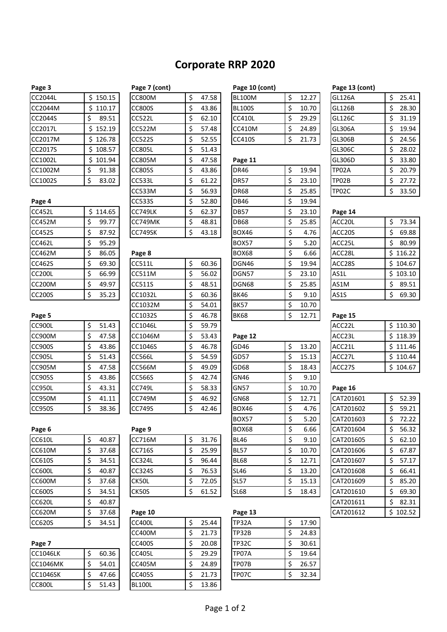# **Corporate RRP 2020**

| Page 4        |    |        |
|---------------|----|--------|
| <b>CC452L</b> | Ś  | 114.65 |
| <b>CC452M</b> | \$ | 99.77  |
| CC452S        | \$ | 87.92  |
| <b>CC462L</b> | \$ | 95.29  |
| CC462M        | \$ | 86.05  |
| CC462S        | \$ | 69.30  |
| <b>CC200L</b> | \$ | 66.99  |
| <b>CC200M</b> | \$ | 49.97  |
| CC200S        | Ś  | 35.23  |

| гакс э        |    |      |
|---------------|----|------|
| <b>CC900L</b> | \$ | 51.4 |
| <b>CC900M</b> | \$ | 47.  |
| <b>CC900S</b> | \$ | 43.8 |
| <b>CC905L</b> | \$ | 51.4 |
| CC905M        | \$ | 47.  |
| CC905S        | \$ | 43.8 |
| <b>CC950L</b> | \$ | 43.  |
| <b>CC950M</b> | \$ | 41.1 |
| ccorpo        | ò  | າດ · |

| Page 6        |             |
|---------------|-------------|
| CC610L        | \$<br>40.87 |
| CC610M        | \$<br>37.68 |
| CC610S        | \$<br>34.51 |
| <b>CC600L</b> | \$<br>40.87 |
| CC600M        | \$<br>37.68 |
| CC600S        | \$<br>34.51 |
| <b>CC620L</b> | \$<br>40.87 |
| CC620M        | \$<br>37.68 |
| CC620S        | \$<br>34.51 |
|               |             |

| <b>CC1046LK</b> | 60.36 |
|-----------------|-------|
| <b>CC1046MK</b> | 54.01 |
| <b>CC1046SK</b> | 47.66 |
| ີ⊂800L          | 51.43 |

| rage / (CONG) |           |
|---------------|-----------|
| <b>CC800M</b> | \$<br>47. |
| <b>CC800S</b> | \$<br>43. |
| <b>CC522L</b> | \$<br>62. |
| <b>CC522M</b> | \$<br>57. |
| <b>CC522S</b> | \$<br>52. |
| <b>CC805L</b> | \$<br>51. |
| <b>CC805M</b> | \$<br>47. |
| <b>CC805S</b> | \$<br>43. |
| <b>CC533L</b> | \$<br>61. |
| CC533M        | \$<br>56. |

# $CC1032M$   $\frac{1}{5}$  54.01 CC900L | \$ 51.43 | CC1046L | \$ 59.79 | | ACC22L | \$ 110.30 CC905S \$ 43.86 CC566S \$ 42.74 GN46 \$ 9.10

| Page 9        |    |       |
|---------------|----|-------|
| <b>CC716M</b> | \$ | 31.76 |
| CC716S        | \$ | 25.99 |
| <b>CC324L</b> | \$ | 96.44 |
| <b>CC324S</b> | \$ | 76.53 |
| CK50L         | Ś  | 72.05 |
| <b>CK50S</b>  | Ś  | 61.52 |
|               |    |       |

| <b>CC620M</b>   | 37.68 | Page 10       |       | Page 13      |       |
|-----------------|-------|---------------|-------|--------------|-------|
| CC620S          | 34.51 | <b>CC400L</b> | 25.44 | <b>TP32A</b> | 17.90 |
|                 |       | <b>CC400M</b> | 21.73 | <b>TP32B</b> | 24.83 |
| Page 7          |       | <b>CC400S</b> | 20.08 | <b>TP32C</b> | 30.61 |
| <b>CC1046LK</b> | 60.36 | <b>CC405L</b> | 29.29 | TP07A        | 19.64 |
| CC1046MK        | 54.01 | <b>CC405M</b> | 24.89 | TP07B        | 26.57 |
| <b>CC1046SK</b> | 47.66 | <b>CC405S</b> | 21.73 | TP07C        | 32.34 |
| <b>CC800L</b>   | 51.43 | BL100L        | 13.86 |              |       |

| Page 3             |                             | Page 7 (cont) |       | Page 10 (cont) |       | Page 13 (cont)             |                      |
|--------------------|-----------------------------|---------------|-------|----------------|-------|----------------------------|----------------------|
| CC2044L            | 150.15                      | CC800M        | 47.58 | BL100M         | 12.27 | <b>GL126A</b>              | 25.41                |
| CC2044M            | 110.17                      | CC800S        | 43.86 | <b>BL100S</b>  | 10.70 | IGL126B                    | 28.30                |
| CC2044S            | 89.51                       | <b>CC522L</b> | 62.10 | CC410L         | 29.29 | GL126C                     | 31.19                |
| CC2017L            | 152.19                      | <b>CC522M</b> | 57.48 | ICC410M        | 24.89 | GL306A                     | 19.94                |
| CC2017M            | 126.78                      | <b>CC522S</b> | 52.55 | CC410S         | 21.73 | GL306B                     | 24.56                |
| $-0.0001 - 0.0001$ | $\sim$ $\sim$ $\sim$ $\sim$ | $\cdots$      | $-1$  |                |       | $\sim$ . $\sim$ . $\sim$ . | $\sim$ $\sim$ $\sim$ |

| <b>CLIUUZL</b> | エロエ・シー      | <b>CCOUJIVI</b> | ڔ<br>97. ، ۲ | гадс 11      |             | งเวงงม  | ب<br><b>JJ.OU</b> |
|----------------|-------------|-----------------|--------------|--------------|-------------|---------|-------------------|
| CC1002M        | 91.38<br>\$ | <b>CC805S</b>   | \$<br>43.86  | <b>DR46</b>  | \$<br>19.94 | TP02A   | 20.79<br>\$       |
| CC1002S        | \$<br>83.02 | <b>CC533L</b>   | \$<br>61.22  | <b>DR57</b>  | \$<br>23.10 | TP02B   | 27.72<br>\$       |
|                |             | <b>CC533M</b>   | \$<br>56.93  | <b>DR68</b>  | \$<br>25.85 | TP02C   | 33.50<br>\$       |
| Page 4         |             | <b>CC533S</b>   | 52.80<br>\$  | <b>DB46</b>  | \$<br>19.94 |         |                   |
| <b>CC452L</b>  | \$114.65    | CC749LK         | 62.37<br>\$  | <b>DB57</b>  | \$<br>23.10 | Page 14 |                   |
| CC452M         | 99.77<br>\$ | CC749MK         | \$<br>48.81  | <b>DB68</b>  | \$<br>25.85 | ACC20L  | 73.34<br>\$       |
| CC452S         | 87.92<br>\$ | CC749SK         | \$<br>43.18  | <b>BOX46</b> | \$<br>4.76  | ACC20S  | 69.88<br>\$       |
| CC462L         | \$<br>95.29 |                 |              | <b>BOX57</b> | \$<br>5.20  | ACC25L  | 80.99<br>\$.      |
| CC462M         | \$<br>86.05 | Page 8          |              | <b>BOX68</b> | \$<br>6.66  | ACC28L  | \$116.22          |
| CC462S         | 69.30<br>\$ | <b>CC511L</b>   | \$<br>60.36  | DGN46        | \$<br>19.94 | ACC28S  | \$104.67          |
| <b>CC200L</b>  | 66.99<br>\$ | CC511M          | 56.02<br>\$  | DGN57        | \$<br>23.10 | AS1L    | \$103.10          |
| CC200M         | 49.97<br>\$ | CC511S          | \$<br>48.51  | DGN68        | \$<br>25.85 | AS1M    | 89.51<br>\$       |
| <b>CC200S</b>  | 35.23<br>\$ | CC1032L         | 60.36<br>\$  | <b>BK46</b>  | \$<br>9.10  | AS1S    | 69.30<br>\$.      |
|                |             | CC1032M         | \$<br>54.01  | <b>BK57</b>  | \$<br>10.70 |         |                   |
| Page 5         |             | CC1032S         | \$<br>46.78  | <b>BK68</b>  | \$<br>12.71 | Page 15 |                   |
|                |             |                 |              |              |             |         |                   |

## CC900M \$ 47.58 CC1046M \$ 53.43 **Page 12** ACC23L \$ 118.39 CC900S \$ 43.86 CC1046S \$ 46.78 GD46 \$ 13.20 ACC21L \$ 111.46 CC905L \$ 51.43 CC566L \$ 54.59 GD57 \$ 15.13 ACC27L \$ 110.44 CC905M |\$47.58 ||CC566M |\$49.09 ||GD68 |\$18.43 || ACC27S ||\$104.67 CC950L \$ 43.31 CC749L \$ 58.33 GN57 \$ 10.70 **Page 16** CC950M |\$ 41.11 | CC749M |\$ 46.92 | GN68 |\$ 12.71 | CAT201601 | \$ 52.39 CC950S \$ 38.36 CC749S \$ 42.46 BOX46 \$ 4.76 CAT201602 \$ 59.21 BOX57 \$ 5.20 CAT201603 \$ 72.22 **Page 6 Page 9** BOX68 \$ 6.66 CAT201604 \$ 56.32 CC610L | \$ 40.87 | | CC716M | \$ 31.76 | |BL46 | \$ 9.10 | |CAT201605 | \$ 62.10 CC610M |\$ 37.68 ||CC716S ||\$ 25.99 ||BL57 ||\$ 10.70 || CAT201606 ||\$ 67.87 CC610S |\$ 34.51 ||CC324L |\$ 96.44 ||BL68 |\$ 12.71 ||CAT201607 |\$ 57.17 CC600L \$ 40.87 CC324S \$ 76.53 SL46 \$ 13.20 CAT201608 \$ 66.41 CC600M | \$ 37.68 | CK50L | \$ 72.05 | SL57 | \$ 15.13 | CAT201609 | \$ 85.20 CC600S \$ 34.51 CK50S \$ 61.52 SL68 \$ 18.43 CAT201610 \$ 69.30

| CC620M          | 37.68 | Page 10       |       | Page 13 |       | CAT201612 | \$102.52 |
|-----------------|-------|---------------|-------|---------|-------|-----------|----------|
| CC620S          | 34.51 | <b>CC400L</b> | 25.44 | ITP32A  | 17.90 |           |          |
|                 |       | CC400M        | 21.73 | ITP32B  | 24.83 |           |          |
| Page 7          |       | <b>CC400S</b> | 20.08 | ITP32C  | 30.61 |           |          |
| <b>CC1046LK</b> | 60.36 | <b>CC405L</b> | 29.29 | ITP07A  | 19.64 |           |          |
| CC1046MK        | 54.01 | <b>CC405M</b> | 24.89 | ITP07B  | 26.57 |           |          |
| CC1046SK        | 47.66 | <b>CC405S</b> | 21.73 | ITP07C  | 32.34 |           |          |
|                 |       |               |       |         |       |           |          |

| гадс э  |            | <b>Lake</b> <i>I</i> (COIII) |             | Lake TA (COIIC) |       | Lake T3 (COIIC) |       |
|---------|------------|------------------------------|-------------|-----------------|-------|-----------------|-------|
| CC2044L | \$150.15   | <b>CC800M</b>                | \$<br>47.58 | <b>BL100M</b>   | 12.27 | <b>GL126A</b>   | 25.41 |
| CC2044M | \$110.17   | <b>CC800S</b>                | \$<br>43.86 | <b>BL100S</b>   | 10.70 | <b>GL126B</b>   | 28.30 |
| CC2044S | 89.51      | <b>CC522L</b>                | \$<br>62.10 | <b>CC410L</b>   | 29.29 | GL126C          | 31.19 |
| CC2017L | \$152.19   | <b>CC522M</b>                | \$<br>57.48 | CC410M          | 24.89 | <b>GL306A</b>   | 19.94 |
| CC2017M | \$126.78   | <b>CC522S</b>                | \$<br>52.55 | <b>CC410S</b>   | 21.73 | <b>GL306B</b>   | 24.56 |
| CC2017S | \$108.57   | <b>CC805L</b>                | \$<br>51.43 |                 |       | GL306C          | 28.02 |
| CC1002L | \$101.94   | <b>CC805M</b>                | \$<br>47.58 | Page 11         |       | GL306D          | 33.80 |
| CC1002M | 91.38      | <b>CC805S</b>                | \$<br>43.86 | <b>DR46</b>     | 19.94 | TP02A           | 20.79 |
| CC1002S | 83.02<br>Ş | <b>CC533L</b>                | \$<br>61.22 | <b>DR57</b>     | 23.10 | TP02B           | 27.72 |
|         |            | <b>CC533M</b>                | \$<br>56.93 | <b>DR68</b>     | 25.85 | TP02C           | 33.50 |
|         |            |                              |             |                 |       |                 |       |

| Page 15            |          |
|--------------------|----------|
| ACC22L             | \$110.30 |
| ACC <sub>23L</sub> | \$118.39 |
| ACC21L             | \$111.46 |
| ACC27L             | \$110.44 |
| ACC27S             | \$104.67 |

| <b>CC950L</b> | 43.31<br>Ş  | ICC749L       | 58.33<br>Ş  | GN57         | 10.70<br>Ş  | Page 16   |              |
|---------------|-------------|---------------|-------------|--------------|-------------|-----------|--------------|
| CC950M        | 41.11<br>Ş  | <b>CC749M</b> | 46.92<br>\$ | <b>GN68</b>  | 12.71<br>\$ | CAT201601 | Ś.<br>52.39  |
| <b>CC950S</b> | 38.36<br>\$ | <b>CC749S</b> | 42.46<br>\$ | <b>BOX46</b> | \$<br>4.76  | CAT201602 | Ś<br>59.21   |
|               |             |               |             | <b>BOX57</b> | 5.20<br>\$  | CAT201603 | 72.22<br>Ś   |
| Page 6        |             | Page 9        |             | BOX68        | \$<br>6.66  | CAT201604 | 56.32        |
| <b>CC610L</b> | 40.87<br>\$ | <b>CC716M</b> | \$<br>31.76 | <b>BL46</b>  | \$<br>9.10  | CAT201605 | 62.10<br>Ś   |
| CC610M        | 37.68<br>Ş  | <b>CC716S</b> | 25.99<br>\$ | <b>BL57</b>  | 10.70<br>\$ | CAT201606 | 67.87<br>Ś   |
| CC610S        | 34.51<br>Ş  | <b>CC324L</b> | \$<br>96.44 | <b>BL68</b>  | 12.71<br>\$ | CAT201607 | 57.17<br>Ś   |
| <b>CC600L</b> | 40.87<br>Ş  | <b>CC324S</b> | 76.53<br>\$ | <b>SL46</b>  | 13.20<br>\$ | CAT201608 | 66.41<br>Ś   |
| <b>CC600M</b> | 37.68<br>Ş  | CK50L         | 72.05<br>\$ | <b>SL57</b>  | 15.13<br>S  | CAT201609 | 85.20<br>Ś   |
| CC600S        | 34.51<br>Ş  | CK50S         | 61.52<br>\$ | <b>SL68</b>  | \$<br>18.43 | CAT201610 | 69.30<br>Ś   |
| <b>CC620L</b> | 40.87<br>Ş  |               |             |              |             | CAT201611 | 82.31<br>Ś   |
| <b>CC620M</b> | 37.68<br>S  | Page 10       |             | Page 13      |             | CAT201612 | 102.52<br>S. |